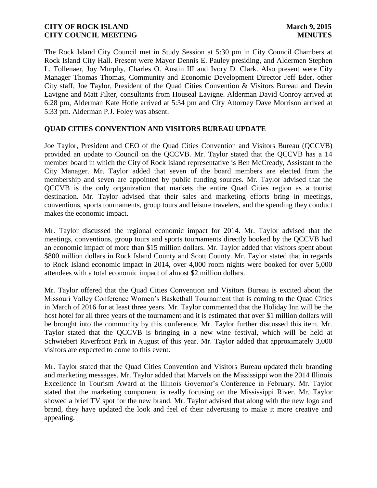The Rock Island City Council met in Study Session at 5:30 pm in City Council Chambers at Rock Island City Hall. Present were Mayor Dennis E. Pauley presiding, and Aldermen Stephen L. Tollenaer, Joy Murphy, Charles O. Austin III and Ivory D. Clark. Also present were City Manager Thomas Thomas, Community and Economic Development Director Jeff Eder, other City staff, Joe Taylor, President of the Quad Cities Convention & Visitors Bureau and Devin Lavigne and Matt Filter, consultants from Houseal Lavigne. Alderman David Conroy arrived at 6:28 pm, Alderman Kate Hotle arrived at 5:34 pm and City Attorney Dave Morrison arrived at 5:33 pm. Alderman P.J. Foley was absent.

# **QUAD CITIES CONVENTION AND VISITORS BUREAU UPDATE**

Joe Taylor, President and CEO of the Quad Cities Convention and Visitors Bureau (QCCVB) provided an update to Council on the QCCVB. Mr. Taylor stated that the QCCVB has a 14 member board in which the City of Rock Island representative is Ben McCready, Assistant to the City Manager. Mr. Taylor added that seven of the board members are elected from the membership and seven are appointed by public funding sources. Mr. Taylor advised that the QCCVB is the only organization that markets the entire Quad Cities region as a tourist destination. Mr. Taylor advised that their sales and marketing efforts bring in meetings, conventions, sports tournaments, group tours and leisure travelers, and the spending they conduct makes the economic impact.

Mr. Taylor discussed the regional economic impact for 2014. Mr. Taylor advised that the meetings, conventions, group tours and sports tournaments directly booked by the QCCVB had an economic impact of more than \$15 million dollars. Mr. Taylor added that visitors spent about \$800 million dollars in Rock Island County and Scott County. Mr. Taylor stated that in regards to Rock Island economic impact in 2014, over 4,000 room nights were booked for over 5,000 attendees with a total economic impact of almost \$2 million dollars.

Mr. Taylor offered that the Quad Cities Convention and Visitors Bureau is excited about the Missouri Valley Conference Women's Basketball Tournament that is coming to the Quad Cities in March of 2016 for at least three years. Mr. Taylor commented that the Holiday Inn will be the host hotel for all three years of the tournament and it is estimated that over \$1 million dollars will be brought into the community by this conference. Mr. Taylor further discussed this item. Mr. Taylor stated that the QCCVB is bringing in a new wine festival, which will be held at Schwiebert Riverfront Park in August of this year. Mr. Taylor added that approximately 3,000 visitors are expected to come to this event.

Mr. Taylor stated that the Quad Cities Convention and Visitors Bureau updated their branding and marketing messages. Mr. Taylor added that Marvels on the Mississippi won the 2014 Illinois Excellence in Tourism Award at the Illinois Governor's Conference in February. Mr. Taylor stated that the marketing component is really focusing on the Mississippi River. Mr. Taylor showed a brief TV spot for the new brand. Mr. Taylor advised that along with the new logo and brand, they have updated the look and feel of their advertising to make it more creative and appealing.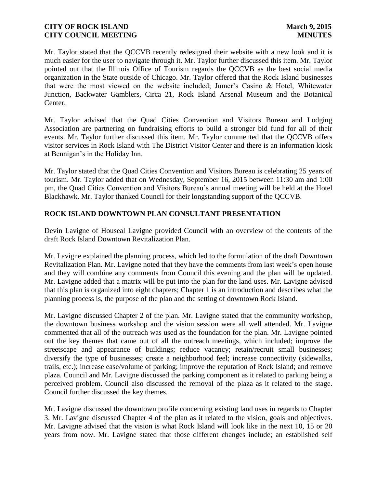Mr. Taylor stated that the QCCVB recently redesigned their website with a new look and it is much easier for the user to navigate through it. Mr. Taylor further discussed this item. Mr. Taylor pointed out that the Illinois Office of Tourism regards the QCCVB as the best social media organization in the State outside of Chicago. Mr. Taylor offered that the Rock Island businesses that were the most viewed on the website included; Jumer's Casino & Hotel, Whitewater Junction, Backwater Gamblers, Circa 21, Rock Island Arsenal Museum and the Botanical Center.

Mr. Taylor advised that the Quad Cities Convention and Visitors Bureau and Lodging Association are partnering on fundraising efforts to build a stronger bid fund for all of their events. Mr. Taylor further discussed this item. Mr. Taylor commented that the QCCVB offers visitor services in Rock Island with The District Visitor Center and there is an information kiosk at Bennigan's in the Holiday Inn.

Mr. Taylor stated that the Quad Cities Convention and Visitors Bureau is celebrating 25 years of tourism. Mr. Taylor added that on Wednesday, September 16, 2015 between 11:30 am and 1:00 pm, the Quad Cities Convention and Visitors Bureau's annual meeting will be held at the Hotel Blackhawk. Mr. Taylor thanked Council for their longstanding support of the QCCVB.

# **ROCK ISLAND DOWNTOWN PLAN CONSULTANT PRESENTATION**

Devin Lavigne of Houseal Lavigne provided Council with an overview of the contents of the draft Rock Island Downtown Revitalization Plan.

Mr. Lavigne explained the planning process, which led to the formulation of the draft Downtown Revitalization Plan. Mr. Lavigne noted that they have the comments from last week's open house and they will combine any comments from Council this evening and the plan will be updated. Mr. Lavigne added that a matrix will be put into the plan for the land uses. Mr. Lavigne advised that this plan is organized into eight chapters; Chapter 1 is an introduction and describes what the planning process is, the purpose of the plan and the setting of downtown Rock Island.

Mr. Lavigne discussed Chapter 2 of the plan. Mr. Lavigne stated that the community workshop, the downtown business workshop and the vision session were all well attended. Mr. Lavigne commented that all of the outreach was used as the foundation for the plan. Mr. Lavigne pointed out the key themes that came out of all the outreach meetings, which included; improve the streetscape and appearance of buildings; reduce vacancy; retain/recruit small businesses; diversify the type of businesses; create a neighborhood feel; increase connectivity (sidewalks, trails, etc.); increase ease/volume of parking; improve the reputation of Rock Island; and remove plaza. Council and Mr. Lavigne discussed the parking component as it related to parking being a perceived problem. Council also discussed the removal of the plaza as it related to the stage. Council further discussed the key themes.

Mr. Lavigne discussed the downtown profile concerning existing land uses in regards to Chapter 3. Mr. Lavigne discussed Chapter 4 of the plan as it related to the vision, goals and objectives. Mr. Lavigne advised that the vision is what Rock Island will look like in the next 10, 15 or 20 years from now. Mr. Lavigne stated that those different changes include; an established self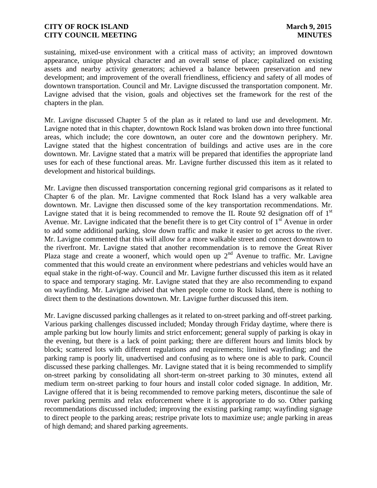sustaining, mixed-use environment with a critical mass of activity; an improved downtown appearance, unique physical character and an overall sense of place; capitalized on existing assets and nearby activity generators; achieved a balance between preservation and new development; and improvement of the overall friendliness, efficiency and safety of all modes of downtown transportation. Council and Mr. Lavigne discussed the transportation component. Mr. Lavigne advised that the vision, goals and objectives set the framework for the rest of the chapters in the plan.

Mr. Lavigne discussed Chapter 5 of the plan as it related to land use and development. Mr. Lavigne noted that in this chapter, downtown Rock Island was broken down into three functional areas, which include; the core downtown, an outer core and the downtown periphery. Mr. Lavigne stated that the highest concentration of buildings and active uses are in the core downtown. Mr. Lavigne stated that a matrix will be prepared that identifies the appropriate land uses for each of these functional areas. Mr. Lavigne further discussed this item as it related to development and historical buildings.

Mr. Lavigne then discussed transportation concerning regional grid comparisons as it related to Chapter 6 of the plan. Mr. Lavigne commented that Rock Island has a very walkable area downtown. Mr. Lavigne then discussed some of the key transportation recommendations. Mr. Lavigne stated that it is being recommended to remove the IL Route 92 designation off of  $1<sup>st</sup>$ Avenue. Mr. Lavigne indicated that the benefit there is to get City control of  $1<sup>st</sup>$  Avenue in order to add some additional parking, slow down traffic and make it easier to get across to the river. Mr. Lavigne commented that this will allow for a more walkable street and connect downtown to the riverfront. Mr. Lavigne stated that another recommendation is to remove the Great River Plaza stage and create a woonerf, which would open up  $2<sup>nd</sup>$  Avenue to traffic. Mr. Lavigne commented that this would create an environment where pedestrians and vehicles would have an equal stake in the right-of-way. Council and Mr. Lavigne further discussed this item as it related to space and temporary staging. Mr. Lavigne stated that they are also recommending to expand on wayfinding. Mr. Lavigne advised that when people come to Rock Island, there is nothing to direct them to the destinations downtown. Mr. Lavigne further discussed this item.

Mr. Lavigne discussed parking challenges as it related to on-street parking and off-street parking. Various parking challenges discussed included; Monday through Friday daytime, where there is ample parking but low hourly limits and strict enforcement; general supply of parking is okay in the evening, but there is a lack of point parking; there are different hours and limits block by block; scattered lots with different regulations and requirements; limited wayfinding; and the parking ramp is poorly lit, unadvertised and confusing as to where one is able to park. Council discussed these parking challenges. Mr. Lavigne stated that it is being recommended to simplify on-street parking by consolidating all short-term on-street parking to 30 minutes, extend all medium term on-street parking to four hours and install color coded signage. In addition, Mr. Lavigne offered that it is being recommended to remove parking meters, discontinue the sale of rover parking permits and relax enforcement where it is appropriate to do so. Other parking recommendations discussed included; improving the existing parking ramp; wayfinding signage to direct people to the parking areas; restripe private lots to maximize use; angle parking in areas of high demand; and shared parking agreements.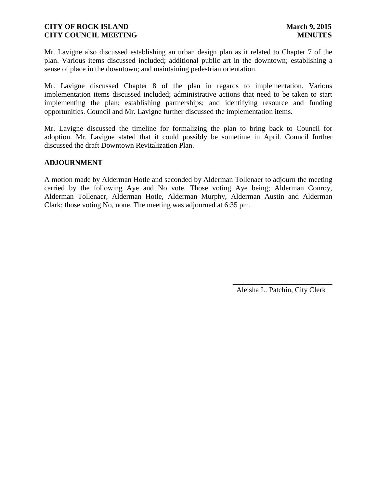Mr. Lavigne also discussed establishing an urban design plan as it related to Chapter 7 of the plan. Various items discussed included; additional public art in the downtown; establishing a sense of place in the downtown; and maintaining pedestrian orientation.

Mr. Lavigne discussed Chapter 8 of the plan in regards to implementation. Various implementation items discussed included; administrative actions that need to be taken to start implementing the plan; establishing partnerships; and identifying resource and funding opportunities. Council and Mr. Lavigne further discussed the implementation items.

Mr. Lavigne discussed the timeline for formalizing the plan to bring back to Council for adoption. Mr. Lavigne stated that it could possibly be sometime in April. Council further discussed the draft Downtown Revitalization Plan.

#### **ADJOURNMENT**

A motion made by Alderman Hotle and seconded by Alderman Tollenaer to adjourn the meeting carried by the following Aye and No vote. Those voting Aye being; Alderman Conroy, Alderman Tollenaer, Alderman Hotle, Alderman Murphy, Alderman Austin and Alderman Clark; those voting No, none. The meeting was adjourned at 6:35 pm.

Aleisha L. Patchin, City Clerk

 $\frac{1}{2}$  ,  $\frac{1}{2}$  ,  $\frac{1}{2}$  ,  $\frac{1}{2}$  ,  $\frac{1}{2}$  ,  $\frac{1}{2}$  ,  $\frac{1}{2}$  ,  $\frac{1}{2}$  ,  $\frac{1}{2}$  ,  $\frac{1}{2}$  ,  $\frac{1}{2}$  ,  $\frac{1}{2}$  ,  $\frac{1}{2}$  ,  $\frac{1}{2}$  ,  $\frac{1}{2}$  ,  $\frac{1}{2}$  ,  $\frac{1}{2}$  ,  $\frac{1}{2}$  ,  $\frac{1$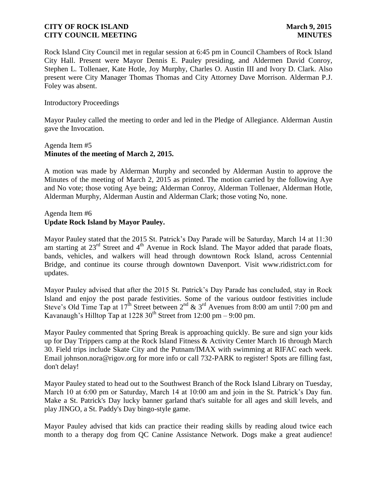Rock Island City Council met in regular session at 6:45 pm in Council Chambers of Rock Island City Hall. Present were Mayor Dennis E. Pauley presiding, and Aldermen David Conroy, Stephen L. Tollenaer, Kate Hotle, Joy Murphy, Charles O. Austin III and Ivory D. Clark. Also present were City Manager Thomas Thomas and City Attorney Dave Morrison. Alderman P.J. Foley was absent.

#### Introductory Proceedings

Mayor Pauley called the meeting to order and led in the Pledge of Allegiance. Alderman Austin gave the Invocation.

## Agenda Item #5 **Minutes of the meeting of March 2, 2015.**

A motion was made by Alderman Murphy and seconded by Alderman Austin to approve the Minutes of the meeting of March 2, 2015 as printed. The motion carried by the following Aye and No vote; those voting Aye being; Alderman Conroy, Alderman Tollenaer, Alderman Hotle, Alderman Murphy, Alderman Austin and Alderman Clark; those voting No, none.

#### Agenda Item #6 **Update Rock Island by Mayor Pauley.**

Mayor Pauley stated that the 2015 St. Patrick's Day Parade will be Saturday, March 14 at 11:30 am starting at 23<sup>rd</sup> Street and 4<sup>th</sup> Avenue in Rock Island. The Mayor added that parade floats, bands, vehicles, and walkers will head through downtown Rock Island, across Centennial Bridge, and continue its course through downtown Davenport. Visit www.ridistrict.com for updates.

Mayor Pauley advised that after the 2015 St. Patrick's Day Parade has concluded, stay in Rock Island and enjoy the post parade festivities. Some of the various outdoor festivities include Steve's Old Time Tap at  $17<sup>th</sup>$  Street between  $2<sup>nd</sup> \& 3<sup>rd</sup>$  Avenues from 8:00 am until 7:00 pm and Kavanaugh's Hilltop Tap at 1228  $30<sup>th</sup>$  Street from 12:00 pm – 9:00 pm.

Mayor Pauley commented that Spring Break is approaching quickly. Be sure and sign your kids up for Day Trippers camp at the Rock Island Fitness & Activity Center March 16 through March 30. Field trips include Skate City and the Putnam/IMAX with swimming at RIFAC each week. Email johnson.nora@rigov.org for more info or call 732-PARK to register! Spots are filling fast, don't delay!

Mayor Pauley stated to head out to the Southwest Branch of the Rock Island Library on Tuesday, March 10 at 6:00 pm or Saturday, March 14 at 10:00 am and join in the St. Patrick's Day fun. Make a St. Patrick's Day lucky banner garland that's suitable for all ages and skill levels, and play JINGO, a St. Paddy's Day bingo-style game.

Mayor Pauley advised that kids can practice their reading skills by reading aloud twice each month to a therapy dog from QC Canine Assistance Network. Dogs make a great audience!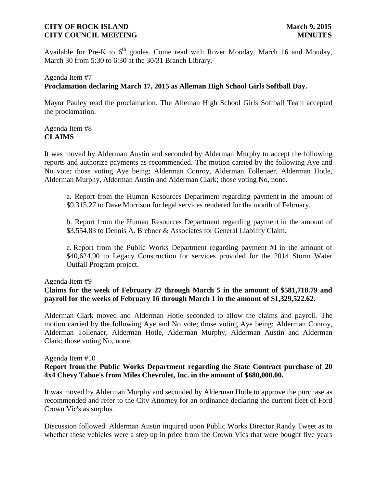Available for Pre-K to  $6<sup>th</sup>$  grades. Come read with Rover Monday, March 16 and Monday, March 30 from 5:30 to 6:30 at the 30/31 Branch Library.

# Agenda Item #7 **Proclamation declaring March 17, 2015 as Alleman High School Girls Softball Day.**

Mayor Pauley read the proclamation. The Alleman High School Girls Softball Team accepted the proclamation.

# Agenda Item #8 **CLAIMS**

It was moved by Alderman Austin and seconded by Alderman Murphy to accept the following reports and authorize payments as recommended. The motion carried by the following Aye and No vote; those voting Aye being; Alderman Conroy, Alderman Tollenaer, Alderman Hotle, Alderman Murphy, Alderman Austin and Alderman Clark; those voting No, none.

a. Report from the Human Resources Department regarding payment in the amount of \$9,315.27 to Dave Morrison for legal services rendered for the month of February.

b. Report from the Human Resources Department regarding payment in the amount of \$3,554.83 to Dennis A. Brebner & Associates for General Liability Claim.

c. Report from the Public Works Department regarding payment #1 in the amount of \$40,624.90 to Legacy Construction for services provided for the 2014 Storm Water Outfall Program project.

#### Agenda Item #9

**Claims for the week of February 27 through March 5 in the amount of \$581,718.79 and payroll for the weeks of February 16 through March 1 in the amount of \$1,329,522.62.** 

Alderman Clark moved and Alderman Hotle seconded to allow the claims and payroll. The motion carried by the following Aye and No vote; those voting Aye being; Alderman Conroy, Alderman Tollenaer, Alderman Hotle, Alderman Murphy, Alderman Austin and Alderman Clark; those voting No, none.

#### Agenda Item #10

## **Report from the Public Works Department regarding the State Contract purchase of 20 4x4 Chevy Tahoe's from Miles Chevrolet, Inc. in the amount of \$680,000.00.**

It was moved by Alderman Murphy and seconded by Alderman Hotle to approve the purchase as recommended and refer to the City Attorney for an ordinance declaring the current fleet of Ford Crown Vic's as surplus.

Discussion followed. Alderman Austin inquired upon Public Works Director Randy Tweet as to whether these vehicles were a step up in price from the Crown Vics that were bought five years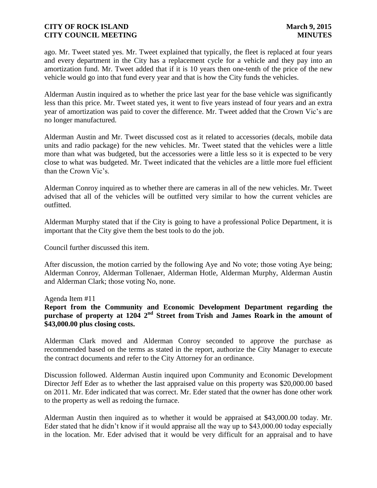ago. Mr. Tweet stated yes. Mr. Tweet explained that typically, the fleet is replaced at four years and every department in the City has a replacement cycle for a vehicle and they pay into an amortization fund. Mr. Tweet added that if it is 10 years then one-tenth of the price of the new vehicle would go into that fund every year and that is how the City funds the vehicles.

Alderman Austin inquired as to whether the price last year for the base vehicle was significantly less than this price. Mr. Tweet stated yes, it went to five years instead of four years and an extra year of amortization was paid to cover the difference. Mr. Tweet added that the Crown Vic's are no longer manufactured.

Alderman Austin and Mr. Tweet discussed cost as it related to accessories (decals, mobile data units and radio package) for the new vehicles. Mr. Tweet stated that the vehicles were a little more than what was budgeted, but the accessories were a little less so it is expected to be very close to what was budgeted. Mr. Tweet indicated that the vehicles are a little more fuel efficient than the Crown Vic's.

Alderman Conroy inquired as to whether there are cameras in all of the new vehicles. Mr. Tweet advised that all of the vehicles will be outfitted very similar to how the current vehicles are outfitted.

Alderman Murphy stated that if the City is going to have a professional Police Department, it is important that the City give them the best tools to do the job.

Council further discussed this item.

After discussion, the motion carried by the following Aye and No vote; those voting Aye being; Alderman Conroy, Alderman Tollenaer, Alderman Hotle, Alderman Murphy, Alderman Austin and Alderman Clark; those voting No, none.

Agenda Item #11

**Report from the Community and Economic Development Department regarding the purchase of property at 1204 2nd Street from Trish and James Roark in the amount of \$43,000.00 plus closing costs.**

Alderman Clark moved and Alderman Conroy seconded to approve the purchase as recommended based on the terms as stated in the report, authorize the City Manager to execute the contract documents and refer to the City Attorney for an ordinance.

Discussion followed. Alderman Austin inquired upon Community and Economic Development Director Jeff Eder as to whether the last appraised value on this property was \$20,000.00 based on 2011. Mr. Eder indicated that was correct. Mr. Eder stated that the owner has done other work to the property as well as redoing the furnace.

Alderman Austin then inquired as to whether it would be appraised at \$43,000.00 today. Mr. Eder stated that he didn't know if it would appraise all the way up to \$43,000.00 today especially in the location. Mr. Eder advised that it would be very difficult for an appraisal and to have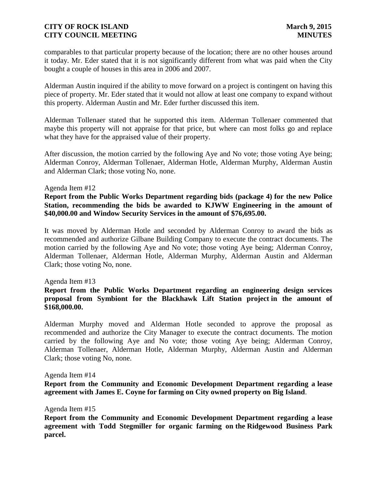comparables to that particular property because of the location; there are no other houses around it today. Mr. Eder stated that it is not significantly different from what was paid when the City bought a couple of houses in this area in 2006 and 2007.

Alderman Austin inquired if the ability to move forward on a project is contingent on having this piece of property. Mr. Eder stated that it would not allow at least one company to expand without this property. Alderman Austin and Mr. Eder further discussed this item.

Alderman Tollenaer stated that he supported this item. Alderman Tollenaer commented that maybe this property will not appraise for that price, but where can most folks go and replace what they have for the appraised value of their property.

After discussion, the motion carried by the following Aye and No vote; those voting Aye being; Alderman Conroy, Alderman Tollenaer, Alderman Hotle, Alderman Murphy, Alderman Austin and Alderman Clark; those voting No, none.

#### Agenda Item #12

**Report from the Public Works Department regarding bids (package 4) for the new Police Station, recommending the bids be awarded to KJWW Engineering in the amount of \$40,000.00 and Window Security Services in the amount of \$76,695.00.**

It was moved by Alderman Hotle and seconded by Alderman Conroy to award the bids as recommended and authorize Gilbane Building Company to execute the contract documents. The motion carried by the following Aye and No vote; those voting Aye being; Alderman Conroy, Alderman Tollenaer, Alderman Hotle, Alderman Murphy, Alderman Austin and Alderman Clark; those voting No, none.

#### Agenda Item #13

**Report from the Public Works Department regarding an engineering design services proposal from Symbiont for the Blackhawk Lift Station project in the amount of \$168,000.00.**

Alderman Murphy moved and Alderman Hotle seconded to approve the proposal as recommended and authorize the City Manager to execute the contract documents. The motion carried by the following Aye and No vote; those voting Aye being; Alderman Conroy, Alderman Tollenaer, Alderman Hotle, Alderman Murphy, Alderman Austin and Alderman Clark; those voting No, none.

#### Agenda Item #14

**Report from the Community and Economic Development Department regarding a lease agreement with James E. Coyne for farming on City owned property on Big Island**.

Agenda Item #15

**Report from the Community and Economic Development Department regarding a lease agreement with Todd Stegmiller for organic farming on the Ridgewood Business Park parcel.**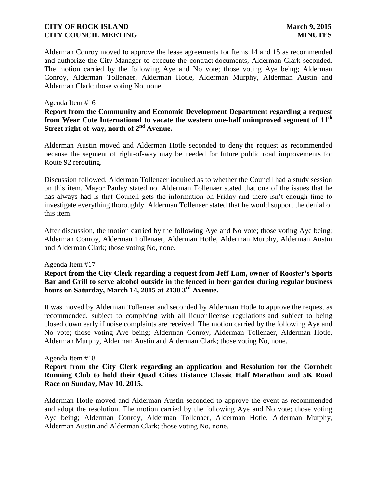Alderman Conroy moved to approve the lease agreements for Items 14 and 15 as recommended and authorize the City Manager to execute the contract documents, Alderman Clark seconded. The motion carried by the following Aye and No vote; those voting Aye being; Alderman Conroy, Alderman Tollenaer, Alderman Hotle, Alderman Murphy, Alderman Austin and Alderman Clark; those voting No, none.

#### Agenda Item #16

## **Report from the Community and Economic Development Department regarding a request from Wear Cote International to vacate the western one-half unimproved segment of 11th Street right-of-way, north of 2nd Avenue.**

Alderman Austin moved and Alderman Hotle seconded to deny the request as recommended because the segment of right-of-way may be needed for future public road improvements for Route 92 rerouting.

Discussion followed. Alderman Tollenaer inquired as to whether the Council had a study session on this item. Mayor Pauley stated no. Alderman Tollenaer stated that one of the issues that he has always had is that Council gets the information on Friday and there isn't enough time to investigate everything thoroughly. Alderman Tollenaer stated that he would support the denial of this item.

After discussion, the motion carried by the following Aye and No vote; those voting Aye being; Alderman Conroy, Alderman Tollenaer, Alderman Hotle, Alderman Murphy, Alderman Austin and Alderman Clark; those voting No, none.

#### Agenda Item #17

**Report from the City Clerk regarding a request from Jeff Lam, owner of Rooster's Sports Bar and Grill to serve alcohol outside in the fenced in beer garden during regular business hours on Saturday, March 14, 2015 at 2130 3rd Avenue.**

It was moved by Alderman Tollenaer and seconded by Alderman Hotle to approve the request as recommended, subject to complying with all liquor license regulations and subject to being closed down early if noise complaints are received. The motion carried by the following Aye and No vote; those voting Aye being; Alderman Conroy, Alderman Tollenaer, Alderman Hotle, Alderman Murphy, Alderman Austin and Alderman Clark; those voting No, none.

#### Agenda Item #18

## **Report from the City Clerk regarding an application and Resolution for the Cornbelt Running Club to hold their Quad Cities Distance Classic Half Marathon and 5K Road Race on Sunday, May 10, 2015.**

Alderman Hotle moved and Alderman Austin seconded to approve the event as recommended and adopt the resolution. The motion carried by the following Aye and No vote; those voting Aye being; Alderman Conroy, Alderman Tollenaer, Alderman Hotle, Alderman Murphy, Alderman Austin and Alderman Clark; those voting No, none.